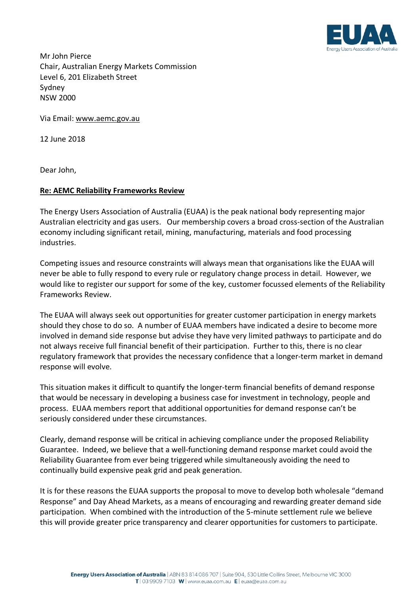

Mr John Pierce Chair, Australian Energy Markets Commission Level 6, 201 Elizabeth Street Sydney NSW 2000

Via Email: www.aemc.gov.au

12 June 2018

Dear John,

## **Re: AEMC Reliability Frameworks Review**

The Energy Users Association of Australia (EUAA) is the peak national body representing major Australian electricity and gas users. Our membership covers a broad cross-section of the Australian economy including significant retail, mining, manufacturing, materials and food processing industries.

Competing issues and resource constraints will always mean that organisations like the EUAA will never be able to fully respond to every rule or regulatory change process in detail. However, we would like to register our support for some of the key, customer focussed elements of the Reliability Frameworks Review.

The EUAA will always seek out opportunities for greater customer participation in energy markets should they chose to do so. A number of EUAA members have indicated a desire to become more involved in demand side response but advise they have very limited pathways to participate and do not always receive full financial benefit of their participation. Further to this, there is no clear regulatory framework that provides the necessary confidence that a longer-term market in demand response will evolve.

This situation makes it difficult to quantify the longer-term financial benefits of demand response that would be necessary in developing a business case for investment in technology, people and process. EUAA members report that additional opportunities for demand response can't be seriously considered under these circumstances.

Clearly, demand response will be critical in achieving compliance under the proposed Reliability Guarantee. Indeed, we believe that a well-functioning demand response market could avoid the Reliability Guarantee from ever being triggered while simultaneously avoiding the need to continually build expensive peak grid and peak generation.

It is for these reasons the EUAA supports the proposal to move to develop both wholesale "demand Response" and Day Ahead Markets, as a means of encouraging and rewarding greater demand side participation. When combined with the introduction of the 5-minute settlement rule we believe this will provide greater price transparency and clearer opportunities for customers to participate.